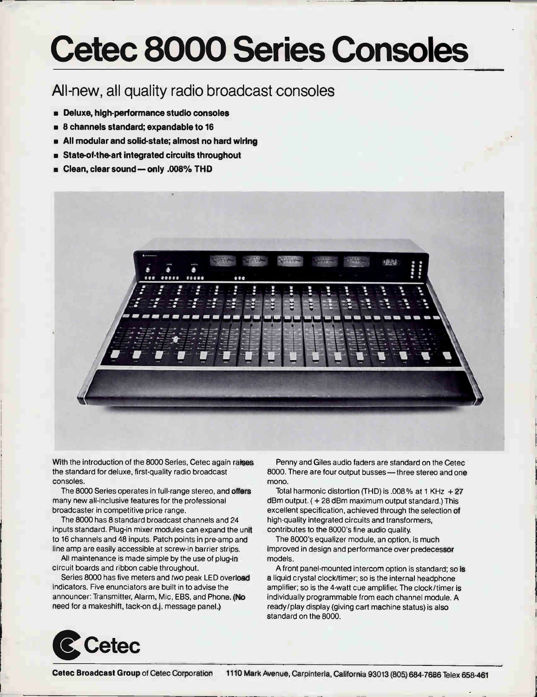## Cetec 8000 Series Consoles

## All-new, all quality radio broadcast consoles

- Deluxe, high-performance studio consoles
- 8 channels standard; expandable to 16
- All modular and solid-state; almost no hard wiring
- **State-of-the-art integrated circuits throughout**
- **E** Clean, clear sound only .008% THD



With the introduction of the 8000 Series, Cetec again raises the standard for deluxe, first-quality radio broadcast consoles.

The 8000 Series operates in full-range stereo, and offers many new all-inclusive features for the professional broadcaster in competitive price range.

The 8000 has 8 standard broadcast channels and 24 inputs standard. Plug-in mixer modules can expand the unit to 16 channels and 48 inputs. Patch points in pre-amp and line amp are easily accessible at screw-in barrier strips.

All maintenance is made simple by the use of plug-in circuit boards and ribbon cable throughout.

Series 8000 has five meters and two peak LED overload indicators. Five enunciators are built in to advise the announcer: Transmitter, Alarm, Mic, EBS, and Phone. (No need for a makeshift, tack-on d.j. message panel.)

Penny and Giles audio faders are standard on the Cetec 8000. There are four output busses—three stereo and one mono.

Total harmonic distortion (THD) is .008% at 1 KHz  $+27$ dBm output. ( + 28 dBm maximum output standard.) This excellent specification, achieved through the selection of high-quality integrated circuits and transformers, contributes to the 8000's fine audio quality

The 8000's equalizer module, an option, is much improved in design and performance over predecessor models.

A front panel-mounted intercom option is standard; so is a liquid crystal clock/timer; so is the internal headphone amplifier; so is the 4-watt cue amplifier. The clock/timer is individually programmable from each channel module. A ready/play display (giving cart machine status) is also standard on the 8000.